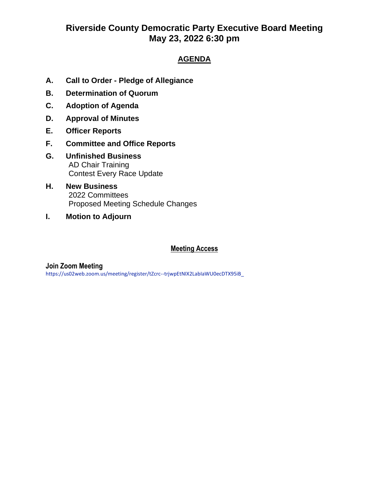# **Riverside County Democratic Party Executive Board Meeting May 23, 2022 6:30 pm**

### **AGENDA**

- **A. Call to Order - Pledge of Allegiance**
- **B. Determination of Quorum**
- **C. Adoption of Agenda**
- **D. Approval of Minutes**
- **E. Officer Reports**
- **F. Committee and Office Reports**
- **G. Unfinished Business**  AD Chair Training Contest Every Race Update
- **H. New Business** 2022 Committees Proposed Meeting Schedule Changes
- **I. Motion to Adjourn**

#### **Meeting Access**

#### **Join Zoom Meeting**

https://us02web.zoom.us/meeting/register/tZcrc--trjwpEtNIX2LabIaWU0ecDTX95iB\_